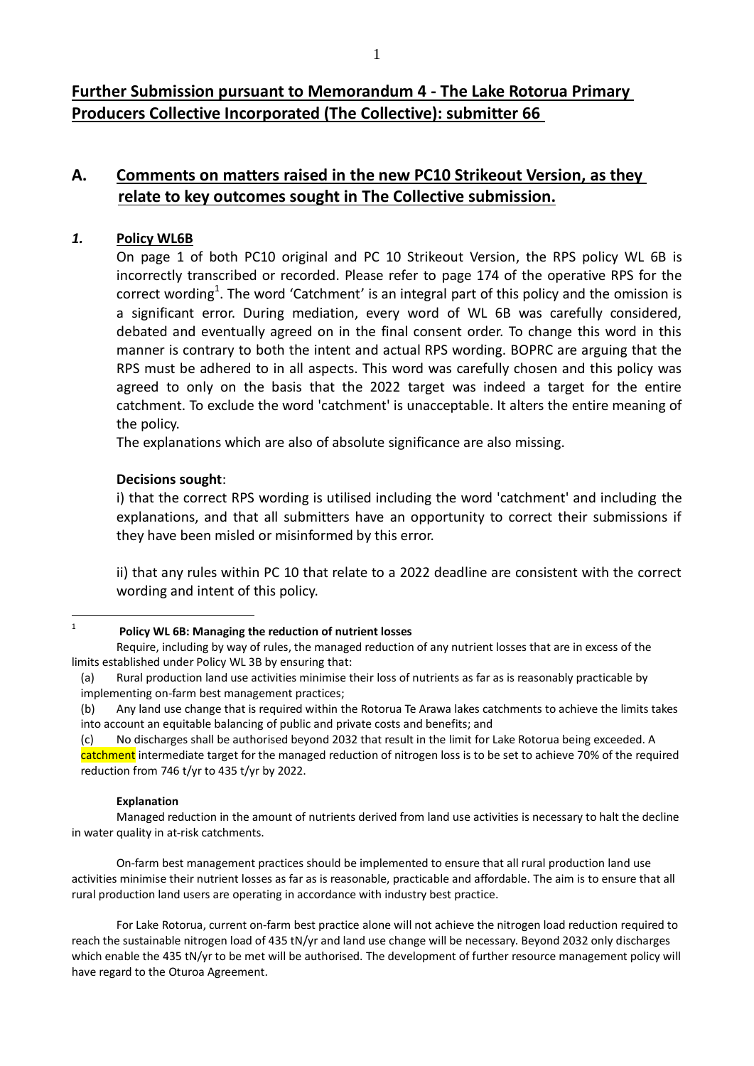**Further Submission pursuant to Memorandum 4 - The Lake Rotorua Primary Producers Collective Incorporated (The Collective): submitter 66** 

# **A. Comments on matters raised in the new PC10 Strikeout Version, as they relate to key outcomes sought in The Collective submission.**

## *1.* **Policy WL6B**

On page 1 of both PC10 original and PC 10 Strikeout Version, the RPS policy WL 6B is incorrectly transcribed or recorded. Please refer to page 174 of the operative RPS for the correct wording<sup>1</sup>. The word 'Catchment' is an integral part of this policy and the omission is a significant error. During mediation, every word of WL 6B was carefully considered, debated and eventually agreed on in the final consent order. To change this word in this manner is contrary to both the intent and actual RPS wording. BOPRC are arguing that the RPS must be adhered to in all aspects. This word was carefully chosen and this policy was agreed to only on the basis that the 2022 target was indeed a target for the entire catchment. To exclude the word 'catchment' is unacceptable. It alters the entire meaning of the policy.

The explanations which are also of absolute significance are also missing.

## **Decisions sought**:

i) that the correct RPS wording is utilised including the word 'catchment' and including the explanations, and that all submitters have an opportunity to correct their submissions if they have been misled or misinformed by this error.

ii) that any rules within PC 10 that relate to a 2022 deadline are consistent with the correct wording and intent of this policy.

 $\frac{1}{1}$ 

Require, including by way of rules, the managed reduction of any nutrient losses that are in excess of the limits established under Policy WL 3B by ensuring that:

(c) No discharges shall be authorised beyond 2032 that result in the limit for Lake Rotorua being exceeded. A catchment intermediate target for the managed reduction of nitrogen loss is to be set to achieve 70% of the required reduction from 746 t/yr to 435 t/yr by 2022.

#### **Explanation**

Managed reduction in the amount of nutrients derived from land use activities is necessary to halt the decline in water quality in at-risk catchments.

On-farm best management practices should be implemented to ensure that all rural production land use activities minimise their nutrient losses as far as is reasonable, practicable and affordable. The aim is to ensure that all rural production land users are operating in accordance with industry best practice.

For Lake Rotorua, current on-farm best practice alone will not achieve the nitrogen load reduction required to reach the sustainable nitrogen load of 435 tN/yr and land use change will be necessary. Beyond 2032 only discharges which enable the 435 tN/yr to be met will be authorised. The development of further resource management policy will have regard to the Oturoa Agreement.

**Policy WL 6B: Managing the reduction of nutrient losses** 

<sup>(</sup>a) Rural production land use activities minimise their loss of nutrients as far as is reasonably practicable by implementing on-farm best management practices;

<sup>(</sup>b) Any land use change that is required within the Rotorua Te Arawa lakes catchments to achieve the limits takes into account an equitable balancing of public and private costs and benefits; and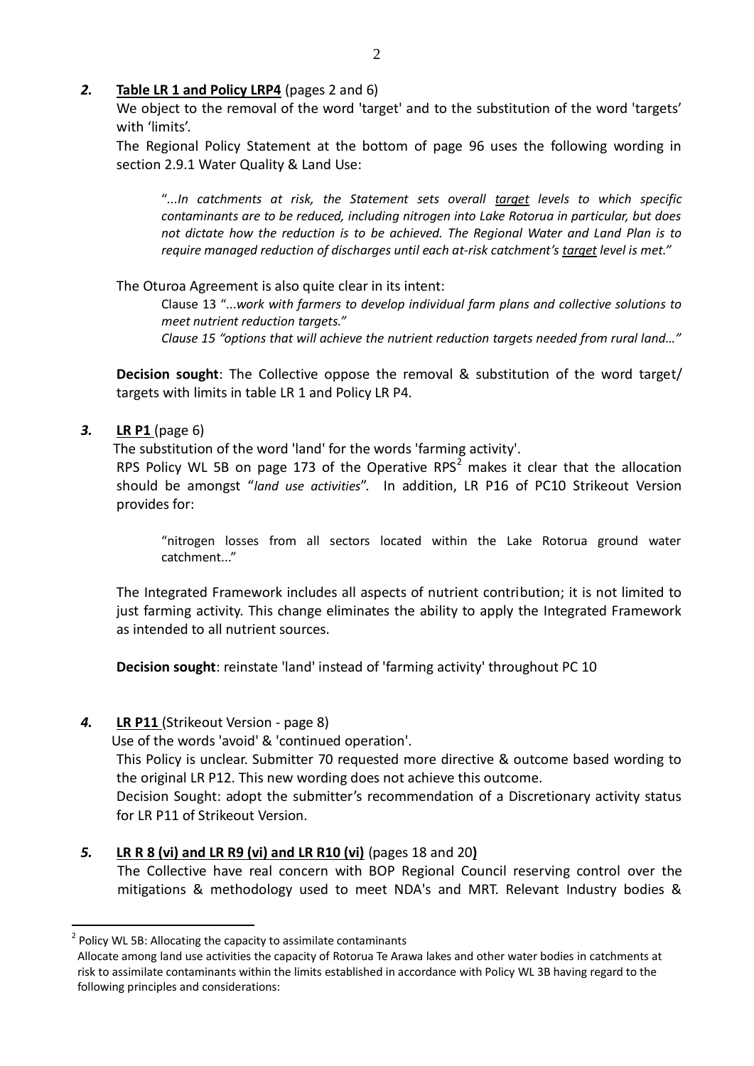## *2.* **Table LR 1 and Policy LRP4** (pages 2 and 6)

We object to the removal of the word 'target' and to the substitution of the word 'targets' with 'limits'.

The Regional Policy Statement at the bottom of page 96 uses the following wording in section 2.9.1 Water Quality & Land Use:

"*...In catchments at risk, the Statement sets overall target levels to which specific contaminants are to be reduced, including nitrogen into Lake Rotorua in particular, but does not dictate how the reduction is to be achieved. The Regional Water and Land Plan is to require managed reduction of discharges until each at-risk catchment's target level is met."*

## The Oturoa Agreement is also quite clear in its intent:

Clause 13 "*...work with farmers to develop individual farm plans and collective solutions to meet nutrient reduction targets."*

*Clause 15 "options that will achieve the nutrient reduction targets needed from rural land…"* 

**Decision sought**: The Collective oppose the removal & substitution of the word target/ targets with limits in table LR 1 and Policy LR P4.

## *3.* **LR P1** (page 6)

1

The substitution of the word 'land' for the words 'farming activity'.

RPS Policy WL 5B on page 173 of the Operative RPS<sup>2</sup> makes it clear that the allocation should be amongst "*land use activities*". In addition, LR P16 of PC10 Strikeout Version provides for:

"nitrogen losses from all sectors located within the Lake Rotorua ground water catchment..."

The Integrated Framework includes all aspects of nutrient contribution; it is not limited to just farming activity. This change eliminates the ability to apply the Integrated Framework as intended to all nutrient sources.

**Decision sought**: reinstate 'land' instead of 'farming activity' throughout PC 10

# *4.* **LR P11** (Strikeout Version - page 8)

Use of the words 'avoid' & 'continued operation'.

This Policy is unclear. Submitter 70 requested more directive & outcome based wording to the original LR P12. This new wording does not achieve this outcome.

Decision Sought: adopt the submitter's recommendation of a Discretionary activity status for LR P11 of Strikeout Version.

# *5.* **LR R 8 (vi) and LR R9 (vi) and LR R10 (vi)** (pages 18 and 20**)**

The Collective have real concern with BOP Regional Council reserving control over the mitigations & methodology used to meet NDA's and MRT. Relevant Industry bodies &

 $2$  Policy WL 5B: Allocating the capacity to assimilate contaminants

Allocate among land use activities the capacity of Rotorua Te Arawa lakes and other water bodies in catchments at risk to assimilate contaminants within the limits established in accordance with Policy WL 3B having regard to the following principles and considerations: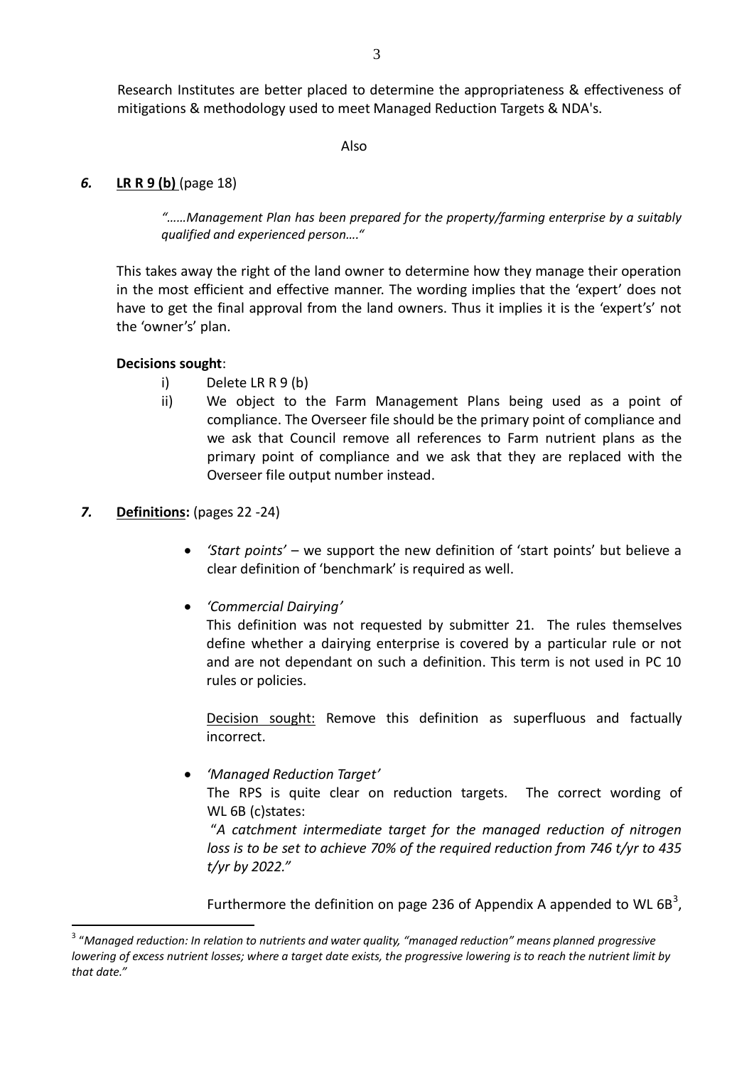Also

## *6.* **LR R 9 (b)** (page 18)

*"……Management Plan has been prepared for the property/farming enterprise by a suitably qualified and experienced person…."* 

This takes away the right of the land owner to determine how they manage their operation in the most efficient and effective manner. The wording implies that the 'expert' does not have to get the final approval from the land owners. Thus it implies it is the 'expert's' not the 'owner's' plan.

## **Decisions sought**:

- i) Delete LR R 9 (b)
- ii) We object to the Farm Management Plans being used as a point of compliance. The Overseer file should be the primary point of compliance and we ask that Council remove all references to Farm nutrient plans as the primary point of compliance and we ask that they are replaced with the Overseer file output number instead.

## *7.* **Definitions:** (pages 22 -24)

1

- *'Start points'* we support the new definition of 'start points' but believe a clear definition of 'benchmark' is required as well.
- *'Commercial Dairying'*

This definition was not requested by submitter 21. The rules themselves define whether a dairying enterprise is covered by a particular rule or not and are not dependant on such a definition. This term is not used in PC 10 rules or policies.

Decision sought: Remove this definition as superfluous and factually incorrect.

*'Managed Reduction Target'*

The RPS is quite clear on reduction targets. The correct wording of WL 6B (c)states:

"*A catchment intermediate target for the managed reduction of nitrogen loss is to be set to achieve 70% of the required reduction from 746 t/yr to 435 t/yr by 2022."* 

Furthermore the definition on page 236 of Appendix A appended to WL 6B<sup>3</sup>,

<sup>&</sup>lt;sup>3</sup> "Managed reduction: In relation to nutrients and water quality, "managed reduction" means planned progressive *lowering of excess nutrient losses; where a target date exists, the progressive lowering is to reach the nutrient limit by that date."*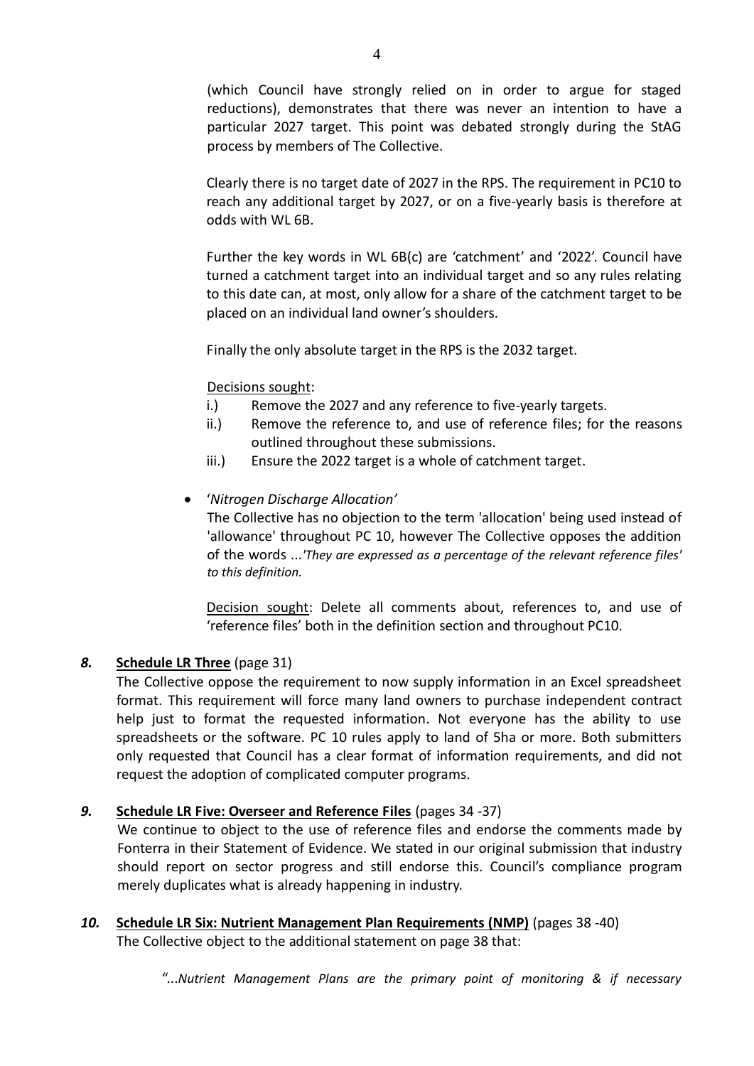(which Council have strongly relied on in order to argue for staged reductions), demonstrates that there was never an intention to have a particular 2027 target. This point was debated strongly during the StAG process by members of The Collective.

Clearly there is no target date of 2027 in the RPS. The requirement in PC10 to reach any additional target by 2027, or on a five-yearly basis is therefore at odds with WL 6B.

Further the key words in WL 6B(c) are 'catchment' and '2022'. Council have turned a catchment target into an individual target and so any rules relating to this date can, at most, only allow for a share of the catchment target to be placed on an individual land owner's shoulders.

Finally the only absolute target in the RPS is the 2032 target.

# Decisions sought:

- i.) Remove the 2027 and any reference to five-yearly targets.
- ii.) Remove the reference to, and use of reference files; for the reasons outlined throughout these submissions.
- iii.) Ensure the 2022 target is a whole of catchment target.
- '*Nitrogen Discharge Allocation'*

The Collective has no objection to the term 'allocation' being used instead of 'allowance' throughout PC 10, however The Collective opposes the addition of the words ...*'They are expressed as a percentage of the relevant reference files' to this definition.* 

Decision sought: Delete all comments about, references to, and use of 'reference files' both in the definition section and throughout PC10.

# *8.* **Schedule LR Three** (page 31)

The Collective oppose the requirement to now supply information in an Excel spreadsheet format. This requirement will force many land owners to purchase independent contract help just to format the requested information. Not everyone has the ability to use spreadsheets or the software. PC 10 rules apply to land of 5ha or more. Both submitters only requested that Council has a clear format of information requirements, and did not request the adoption of complicated computer programs.

# *9.* **Schedule LR Five: Overseer and Reference Files** (pages 34 -37)

 We continue to object to the use of reference files and endorse the comments made by Fonterra in their Statement of Evidence. We stated in our original submission that industry should report on sector progress and still endorse this. Council's compliance program merely duplicates what is already happening in industry.

*10.* **Schedule LR Six: Nutrient Management Plan Requirements (NMP)** (pages 38 -40) The Collective object to the additional statement on page 38 that:

"...*Nutrient Management Plans are the primary point of monitoring & if necessary*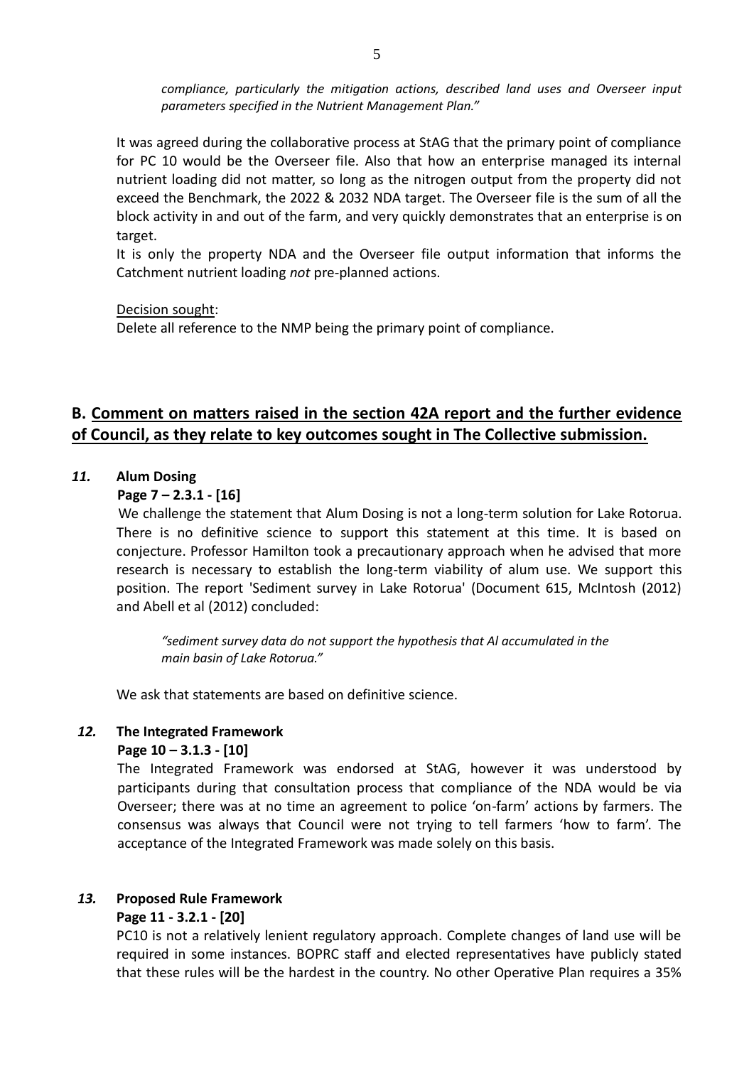*compliance, particularly the mitigation actions, described land uses and Overseer input parameters specified in the Nutrient Management Plan."*

It was agreed during the collaborative process at StAG that the primary point of compliance for PC 10 would be the Overseer file. Also that how an enterprise managed its internal nutrient loading did not matter, so long as the nitrogen output from the property did not exceed the Benchmark, the 2022 & 2032 NDA target. The Overseer file is the sum of all the block activity in and out of the farm, and very quickly demonstrates that an enterprise is on target.

It is only the property NDA and the Overseer file output information that informs the Catchment nutrient loading *not* pre-planned actions.

Decision sought:

Delete all reference to the NMP being the primary point of compliance.

# **B. Comment on matters raised in the section 42A report and the further evidence of Council, as they relate to key outcomes sought in The Collective submission.**

### *11.* **Alum Dosing**

### **Page 7 – 2.3.1 - [16]**

We challenge the statement that Alum Dosing is not a long-term solution for Lake Rotorua. There is no definitive science to support this statement at this time. It is based on conjecture. Professor Hamilton took a precautionary approach when he advised that more research is necessary to establish the long-term viability of alum use. We support this position. The report 'Sediment survey in Lake Rotorua' (Document 615, McIntosh (2012) and Abell et al (2012) concluded:

*"sediment survey data do not support the hypothesis that Al accumulated in the main basin of Lake Rotorua."*

We ask that statements are based on definitive science.

### *12.* **The Integrated Framework**

#### **Page 10 – 3.1.3 - [10]**

The Integrated Framework was endorsed at StAG, however it was understood by participants during that consultation process that compliance of the NDA would be via Overseer; there was at no time an agreement to police 'on-farm' actions by farmers. The consensus was always that Council were not trying to tell farmers 'how to farm'. The acceptance of the Integrated Framework was made solely on this basis.

#### *13.* **Proposed Rule Framework**

## **Page 11 - 3.2.1 - [20]**

PC10 is not a relatively lenient regulatory approach. Complete changes of land use will be required in some instances. BOPRC staff and elected representatives have publicly stated that these rules will be the hardest in the country. No other Operative Plan requires a 35%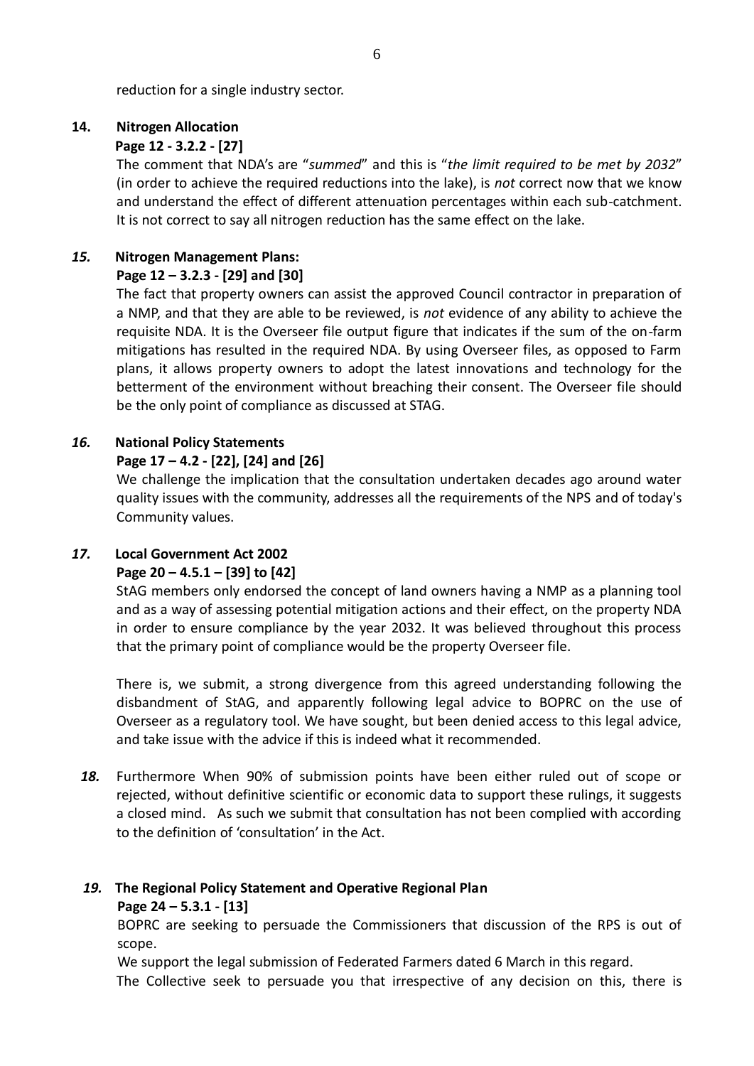reduction for a single industry sector.

# **14. Nitrogen Allocation**

# **Page 12 - 3.2.2 - [27]**

The comment that NDA's are "*summed*" and this is "*the limit required to be met by 2032*" (in order to achieve the required reductions into the lake), is *not* correct now that we know and understand the effect of different attenuation percentages within each sub-catchment. It is not correct to say all nitrogen reduction has the same effect on the lake.

# *15.* **Nitrogen Management Plans:**

# **Page 12 – 3.2.3 - [29] and [30]**

The fact that property owners can assist the approved Council contractor in preparation of a NMP, and that they are able to be reviewed, is *not* evidence of any ability to achieve the requisite NDA. It is the Overseer file output figure that indicates if the sum of the on-farm mitigations has resulted in the required NDA. By using Overseer files, as opposed to Farm plans, it allows property owners to adopt the latest innovations and technology for the betterment of the environment without breaching their consent. The Overseer file should be the only point of compliance as discussed at STAG.

# *16.* **National Policy Statements**

# **Page 17 – 4.2 - [22], [24] and [26]**

We challenge the implication that the consultation undertaken decades ago around water quality issues with the community, addresses all the requirements of the NPS and of today's Community values.

# *17.* **Local Government Act 2002**

# **Page 20 – 4.5.1 – [39] to [42]**

StAG members only endorsed the concept of land owners having a NMP as a planning tool and as a way of assessing potential mitigation actions and their effect, on the property NDA in order to ensure compliance by the year 2032. It was believed throughout this process that the primary point of compliance would be the property Overseer file.

There is, we submit, a strong divergence from this agreed understanding following the disbandment of StAG, and apparently following legal advice to BOPRC on the use of Overseer as a regulatory tool. We have sought, but been denied access to this legal advice, and take issue with the advice if this is indeed what it recommended.

*18.* Furthermore When 90% of submission points have been either ruled out of scope or rejected, without definitive scientific or economic data to support these rulings, it suggests a closed mind. As such we submit that consultation has not been complied with according to the definition of 'consultation' in the Act.

# *19.* **The Regional Policy Statement and Operative Regional Plan**

# **Page 24 – 5.3.1 - [13]**

BOPRC are seeking to persuade the Commissioners that discussion of the RPS is out of scope.

We support the legal submission of Federated Farmers dated 6 March in this regard.

The Collective seek to persuade you that irrespective of any decision on this, there is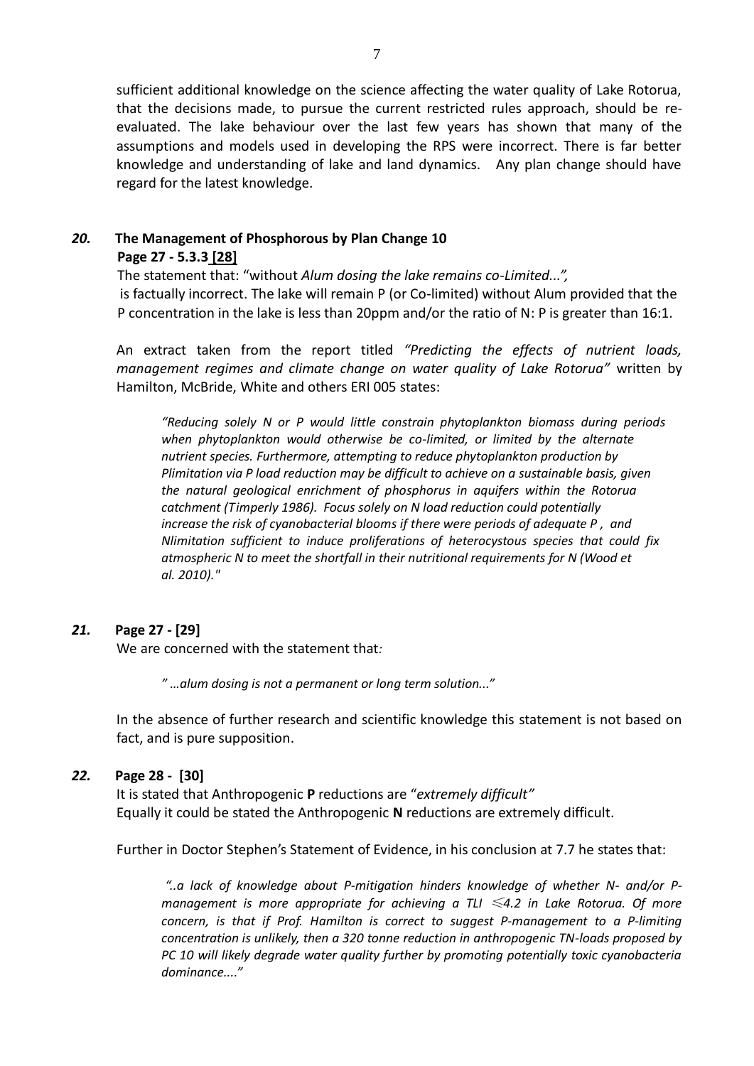sufficient additional knowledge on the science affecting the water quality of Lake Rotorua, that the decisions made, to pursue the current restricted rules approach, should be reevaluated. The lake behaviour over the last few years has shown that many of the assumptions and models used in developing the RPS were incorrect. There is far better knowledge and understanding of lake and land dynamics. Any plan change should have regard for the latest knowledge.

### *20.* **The Management of Phosphorous by Plan Change 10 Page 27 - 5.3.3 [28]**

The statement that: "without *Alum dosing the lake remains co-Limited...",*  is factually incorrect. The lake will remain P (or Co-limited) without Alum provided that the P concentration in the lake is less than 20ppm and/or the ratio of N: P is greater than 16:1.

An extract taken from the report titled *"Predicting the effects of nutrient loads, management regimes and climate change on water quality of Lake Rotorua"* written by Hamilton, McBride, White and others ERI 005 states:

*"Reducing solely N or P would little constrain phytoplankton biomass during periods when phytoplankton would otherwise be co-limited, or limited by the alternate nutrient species. Furthermore, attempting to reduce phytoplankton production by Plimitation via P load reduction may be difficult to achieve on a sustainable basis, given the natural geological enrichment of phosphorus in aquifers within the Rotorua catchment (Timperly 1986). Focus solely on N load reduction could potentially increase the risk of cyanobacterial blooms if there were periods of adequate P , and Nlimitation sufficient to induce proliferations of heterocystous species that could fix atmospheric N to meet the shortfall in their nutritional requirements for N (Wood et al. 2010)."*

## *21.* **Page 27 - [29]**

We are concerned with the statement that*:*

*" …alum dosing is not a permanent or long term solution..."*

In the absence of further research and scientific knowledge this statement is not based on fact, and is pure supposition.

## *22.* **Page 28 - [30]**

It is stated that Anthropogenic **P** reductions are "*extremely difficult"* Equally it could be stated the Anthropogenic **N** reductions are extremely difficult.

Further in Doctor Stephen's Statement of Evidence, in his conclusion at 7.7 he states that:

*"..a lack of knowledge about P-mitigation hinders knowledge of whether N- and/or Pmanagement is more appropriate for achieving a TLI* ≤*4.2 in Lake Rotorua. Of more concern, is that if Prof. Hamilton is correct to suggest P-management to a P-limiting concentration is unlikely, then a 320 tonne reduction in anthropogenic TN-loads proposed by PC 10 will likely degrade water quality further by promoting potentially toxic cyanobacteria dominance...."*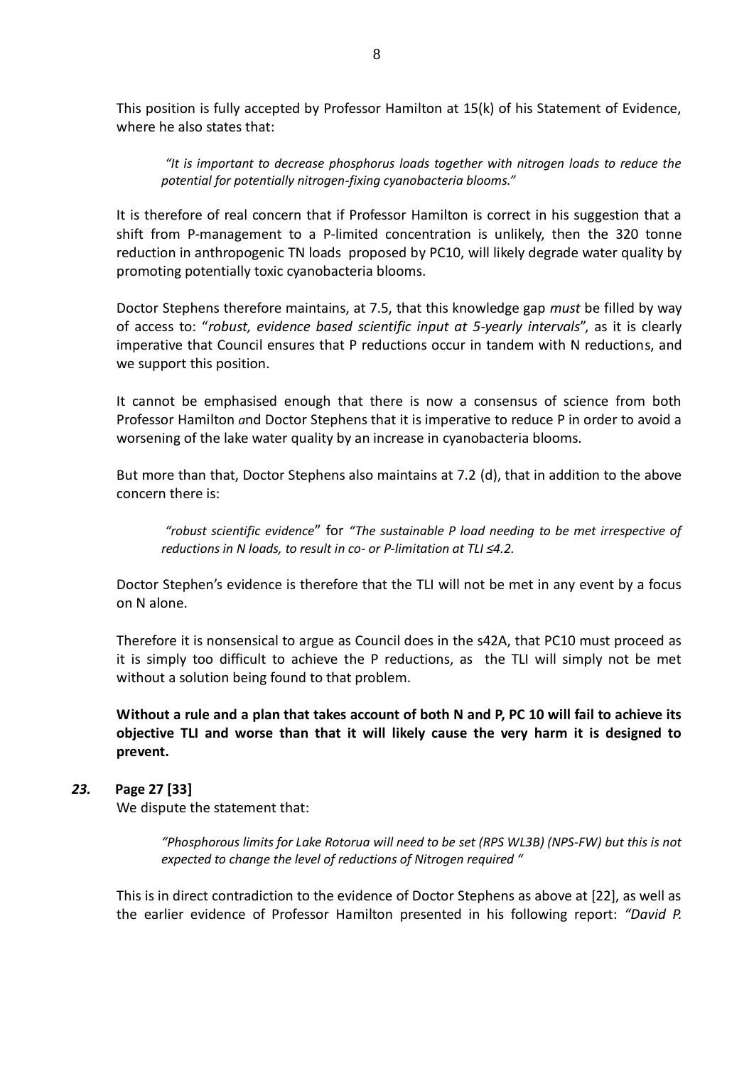This position is fully accepted by Professor Hamilton at 15(k) of his Statement of Evidence, where he also states that:

*"It is important to decrease phosphorus loads together with nitrogen loads to reduce the potential for potentially nitrogen-fixing cyanobacteria blooms."*

It is therefore of real concern that if Professor Hamilton is correct in his suggestion that a shift from P-management to a P-limited concentration is unlikely, then the 320 tonne reduction in anthropogenic TN loads proposed by PC10, will likely degrade water quality by promoting potentially toxic cyanobacteria blooms.

Doctor Stephens therefore maintains, at 7.5, that this knowledge gap *must* be filled by way of access to: "*robust, evidence based scientific input at 5-yearly intervals*", as it is clearly imperative that Council ensures that P reductions occur in tandem with N reductions, and we support this position.

It cannot be emphasised enough that there is now a consensus of science from both Professor Hamilton *a*nd Doctor Stephens that it is imperative to reduce P in order to avoid a worsening of the lake water quality by an increase in cyanobacteria blooms.

But more than that, Doctor Stephens also maintains at 7.2 (d), that in addition to the above concern there is:

*"robust scientific evidence*" for *"The sustainable P load needing to be met irrespective of reductions in N loads, to result in co- or P-limitation at TLI ≤4.2.*

Doctor Stephen's evidence is therefore that the TLI will not be met in any event by a focus on N alone.

Therefore it is nonsensical to argue as Council does in the s42A, that PC10 must proceed as it is simply too difficult to achieve the P reductions, as the TLI will simply not be met without a solution being found to that problem.

**Without a rule and a plan that takes account of both N and P, PC 10 will fail to achieve its objective TLI and worse than that it will likely cause the very harm it is designed to prevent.**

## *23.* **Page 27 [33]**

We dispute the statement that:

*"Phosphorous limits for Lake Rotorua will need to be set (RPS WL3B) (NPS-FW) but this is not expected to change the level of reductions of Nitrogen required "*

This is in direct contradiction to the evidence of Doctor Stephens as above at [22], as well as the earlier evidence of Professor Hamilton presented in his following report: *"David P.*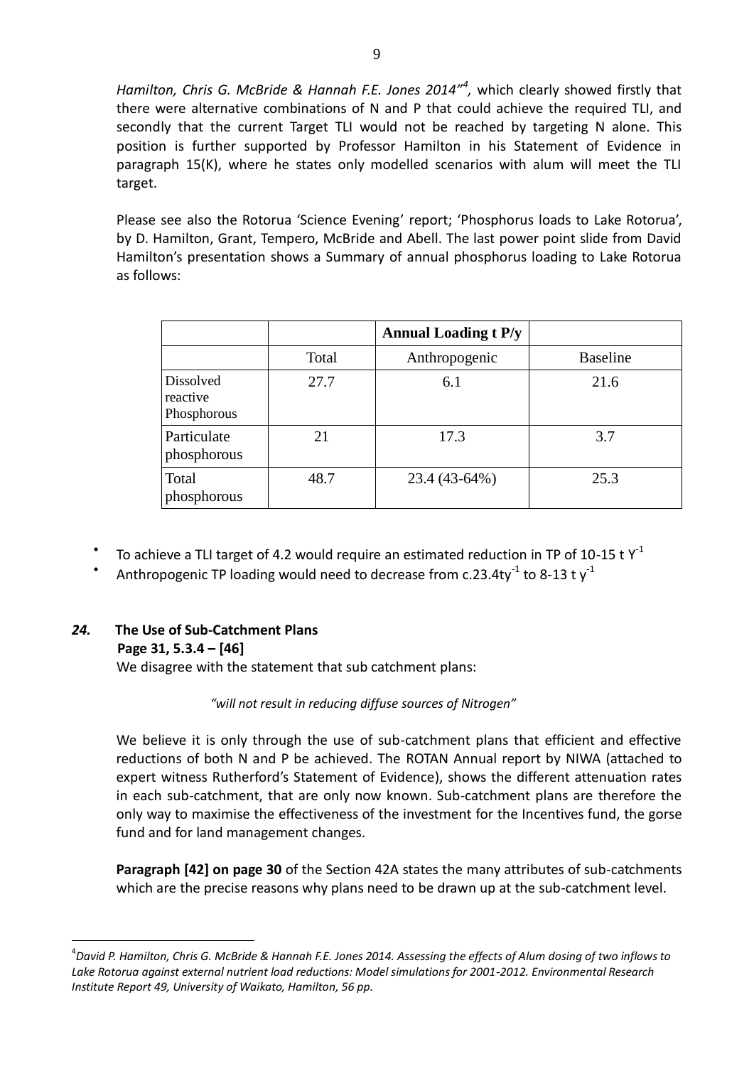Hamilton, Chris G. McBride & Hannah F.E. Jones 2014<sup>n4</sup>, which clearly showed firstly that there were alternative combinations of N and P that could achieve the required TLI, and secondly that the current Target TLI would not be reached by targeting N alone. This position is further supported by Professor Hamilton in his Statement of Evidence in paragraph 15(K), where he states only modelled scenarios with alum will meet the TLI target.

Please see also the Rotorua 'Science Evening' report; 'Phosphorus loads to Lake Rotorua', by D. Hamilton, Grant, Tempero, McBride and Abell. The last power point slide from David Hamilton's presentation shows a Summary of annual phosphorus loading to Lake Rotorua as follows:

|                                             |       | <b>Annual Loading t P/y</b> |                 |
|---------------------------------------------|-------|-----------------------------|-----------------|
|                                             | Total | Anthropogenic               | <b>Baseline</b> |
| <b>Dissolved</b><br>reactive<br>Phosphorous | 27.7  | 6.1                         | 21.6            |
| Particulate<br>phosphorous                  | 21    | 17.3                        | 3.7             |
| Total<br>phosphorous                        | 48.7  | 23.4 (43-64%)               | 25.3            |

- $\bullet$ To achieve a TLI target of 4.2 would require an estimated reduction in TP of 10-15 t  $Y^1$
- $\bullet$ Anthropogenic TP loading would need to decrease from c.23.4ty<sup>-1</sup> to 8-13 t y<sup>-1</sup>

## *24.* **The Use of Sub-Catchment Plans**

#### **Page 31, 5.3.4 – [46]**

<u>.</u>

We disagree with the statement that sub catchment plans:

#### *"will not result in reducing diffuse sources of Nitrogen"*

We believe it is only through the use of sub-catchment plans that efficient and effective reductions of both N and P be achieved. The ROTAN Annual report by NIWA (attached to expert witness Rutherford's Statement of Evidence), shows the different attenuation rates in each sub-catchment, that are only now known. Sub-catchment plans are therefore the only way to maximise the effectiveness of the investment for the Incentives fund, the gorse fund and for land management changes.

**Paragraph [42] on page 30** of the Section 42A states the many attributes of sub-catchments which are the precise reasons why plans need to be drawn up at the sub-catchment level.

<sup>4</sup> *David P. Hamilton, Chris G. McBride & Hannah F.E. Jones 2014. Assessing the effects of Alum dosing of two inflows to Lake Rotorua against external nutrient load reductions: Model simulations for 2001-2012. Environmental Research Institute Report 49, University of Waikato, Hamilton, 56 pp.*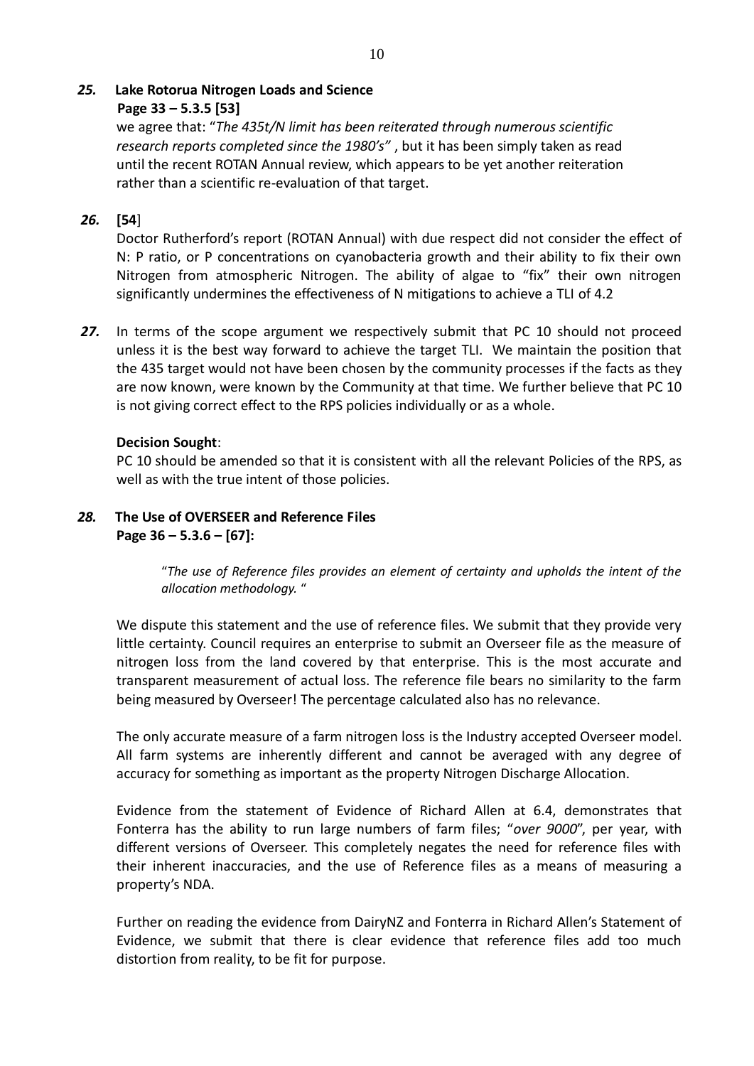# *25.* **Lake Rotorua Nitrogen Loads and Science**

## **Page 33 – 5.3.5 [53]**

we agree that: "*The 435t/N limit has been reiterated through numerous scientific research reports completed since the 1980's"* , but it has been simply taken as read until the recent ROTAN Annual review, which appears to be yet another reiteration rather than a scientific re-evaluation of that target.

## *26.* **[54**]

Doctor Rutherford's report (ROTAN Annual) with due respect did not consider the effect of N: P ratio, or P concentrations on cyanobacteria growth and their ability to fix their own Nitrogen from atmospheric Nitrogen. The ability of algae to "fix" their own nitrogen significantly undermines the effectiveness of N mitigations to achieve a TLI of 4.2

*27.* In terms of the scope argument we respectively submit that PC 10 should not proceed unless it is the best way forward to achieve the target TLI. We maintain the position that the 435 target would not have been chosen by the community processes if the facts as they are now known, were known by the Community at that time. We further believe that PC 10 is not giving correct effect to the RPS policies individually or as a whole.

## **Decision Sought**:

PC 10 should be amended so that it is consistent with all the relevant Policies of the RPS, as well as with the true intent of those policies.

# *28.* **The Use of OVERSEER and Reference Files Page 36 – 5.3.6 – [67]:**

"*The use of Reference files provides an element of certainty and upholds the intent of the allocation methodology.* "

We dispute this statement and the use of reference files. We submit that they provide very little certainty. Council requires an enterprise to submit an Overseer file as the measure of nitrogen loss from the land covered by that enterprise. This is the most accurate and transparent measurement of actual loss. The reference file bears no similarity to the farm being measured by Overseer! The percentage calculated also has no relevance.

The only accurate measure of a farm nitrogen loss is the Industry accepted Overseer model. All farm systems are inherently different and cannot be averaged with any degree of accuracy for something as important as the property Nitrogen Discharge Allocation.

Evidence from the statement of Evidence of Richard Allen at 6.4, demonstrates that Fonterra has the ability to run large numbers of farm files; "*over 9000*", per year, with different versions of Overseer. This completely negates the need for reference files with their inherent inaccuracies, and the use of Reference files as a means of measuring a property's NDA.

Further on reading the evidence from DairyNZ and Fonterra in Richard Allen's Statement of Evidence, we submit that there is clear evidence that reference files add too much distortion from reality, to be fit for purpose.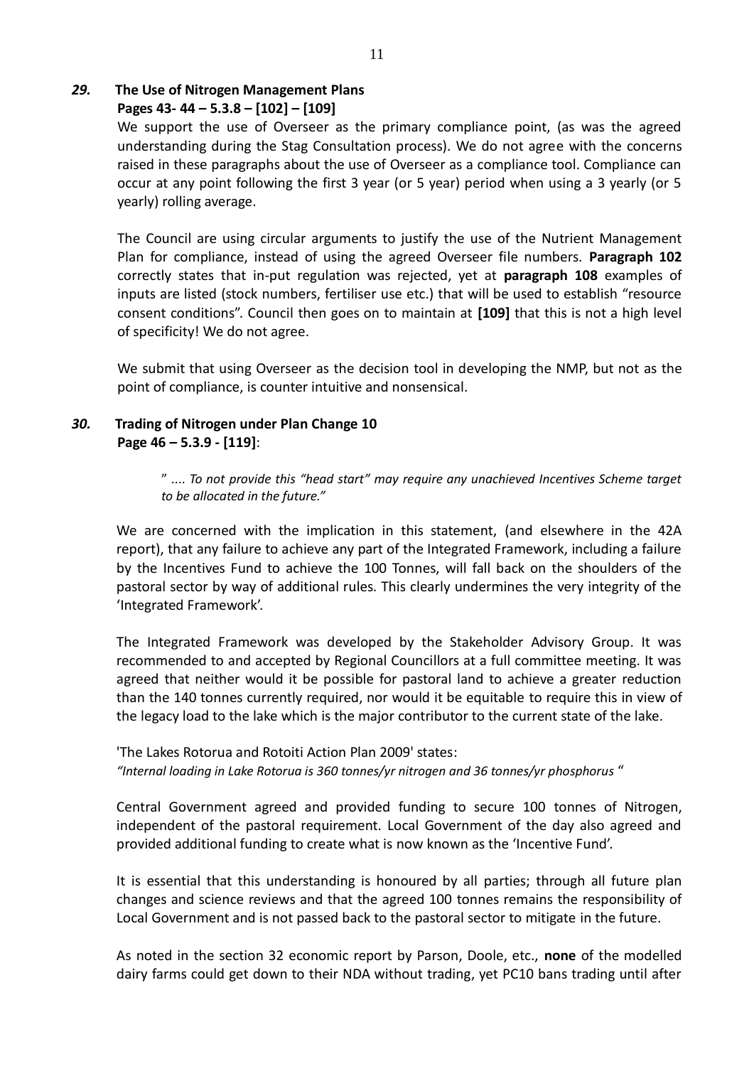# *29.* **The Use of Nitrogen Management Plans**

**Pages 43- 44 – 5.3.8 – [102] – [109]**

We support the use of Overseer as the primary compliance point, (as was the agreed understanding during the Stag Consultation process). We do not agree with the concerns raised in these paragraphs about the use of Overseer as a compliance tool. Compliance can occur at any point following the first 3 year (or 5 year) period when using a 3 yearly (or 5 yearly) rolling average.

The Council are using circular arguments to justify the use of the Nutrient Management Plan for compliance, instead of using the agreed Overseer file numbers. **Paragraph 102**  correctly states that in-put regulation was rejected, yet at **paragraph 108** examples of inputs are listed (stock numbers, fertiliser use etc.) that will be used to establish "resource consent conditions". Council then goes on to maintain at **[109]** that this is not a high level of specificity! We do not agree.

We submit that using Overseer as the decision tool in developing the NMP, but not as the point of compliance, is counter intuitive and nonsensical.

## *30.* **Trading of Nitrogen under Plan Change 10 Page 46 – 5.3.9 - [119]**:

" .... *To not provide this "head start" may require any unachieved Incentives Scheme target to be allocated in the future."* 

We are concerned with the implication in this statement, (and elsewhere in the 42A report), that any failure to achieve any part of the Integrated Framework, including a failure by the Incentives Fund to achieve the 100 Tonnes, will fall back on the shoulders of the pastoral sector by way of additional rules. This clearly undermines the very integrity of the 'Integrated Framework'.

The Integrated Framework was developed by the Stakeholder Advisory Group. It was recommended to and accepted by Regional Councillors at a full committee meeting. It was agreed that neither would it be possible for pastoral land to achieve a greater reduction than the 140 tonnes currently required, nor would it be equitable to require this in view of the legacy load to the lake which is the major contributor to the current state of the lake.

'The Lakes Rotorua and Rotoiti Action Plan 2009' states: *"Internal loading in Lake Rotorua is 360 tonnes/yr nitrogen and 36 tonnes/yr phosphorus* "

Central Government agreed and provided funding to secure 100 tonnes of Nitrogen, independent of the pastoral requirement. Local Government of the day also agreed and provided additional funding to create what is now known as the 'Incentive Fund'.

It is essential that this understanding is honoured by all parties; through all future plan changes and science reviews and that the agreed 100 tonnes remains the responsibility of Local Government and is not passed back to the pastoral sector to mitigate in the future.

As noted in the section 32 economic report by Parson, Doole, etc., **none** of the modelled dairy farms could get down to their NDA without trading, yet PC10 bans trading until after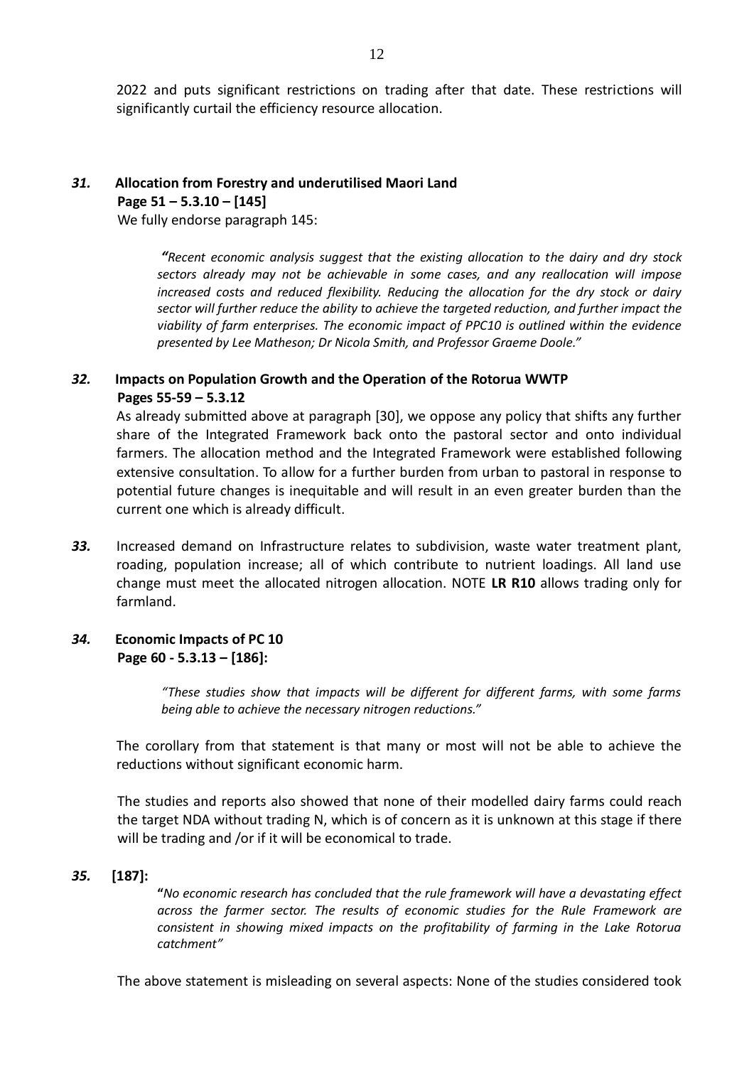2022 and puts significant restrictions on trading after that date. These restrictions will significantly curtail the efficiency resource allocation.

# *31.* **Allocation from Forestry and underutilised Maori Land Page 51 – 5.3.10 – [145]**

We fully endorse paragraph 145:

*"Recent economic analysis suggest that the existing allocation to the dairy and dry stock sectors already may not be achievable in some cases, and any reallocation will impose increased costs and reduced flexibility. Reducing the allocation for the dry stock or dairy sector will further reduce the ability to achieve the targeted reduction, and further impact the viability of farm enterprises. The economic impact of PPC10 is outlined within the evidence presented by Lee Matheson; Dr Nicola Smith, and Professor Graeme Doole."* 

# *32.* **Impacts on Population Growth and the Operation of the Rotorua WWTP Pages 55-59 – 5.3.12**

As already submitted above at paragraph [30], we oppose any policy that shifts any further share of the Integrated Framework back onto the pastoral sector and onto individual farmers. The allocation method and the Integrated Framework were established following extensive consultation. To allow for a further burden from urban to pastoral in response to potential future changes is inequitable and will result in an even greater burden than the current one which is already difficult.

*33.* Increased demand on Infrastructure relates to subdivision, waste water treatment plant, roading, population increase; all of which contribute to nutrient loadings. All land use change must meet the allocated nitrogen allocation. NOTE **LR R10** allows trading only for farmland.

## *34.* **Economic Impacts of PC 10 Page 60 - 5.3.13 – [186]:**

*"These studies show that impacts will be different for different farms, with some farms being able to achieve the necessary nitrogen reductions."* 

The corollary from that statement is that many or most will not be able to achieve the reductions without significant economic harm.

The studies and reports also showed that none of their modelled dairy farms could reach the target NDA without trading N, which is of concern as it is unknown at this stage if there will be trading and /or if it will be economical to trade.

#### *35.* **[187]:**

**"***No economic research has concluded that the rule framework will have a devastating effect across the farmer sector. The results of economic studies for the Rule Framework are consistent in showing mixed impacts on the profitability of farming in the Lake Rotorua catchment"* 

The above statement is misleading on several aspects: None of the studies considered took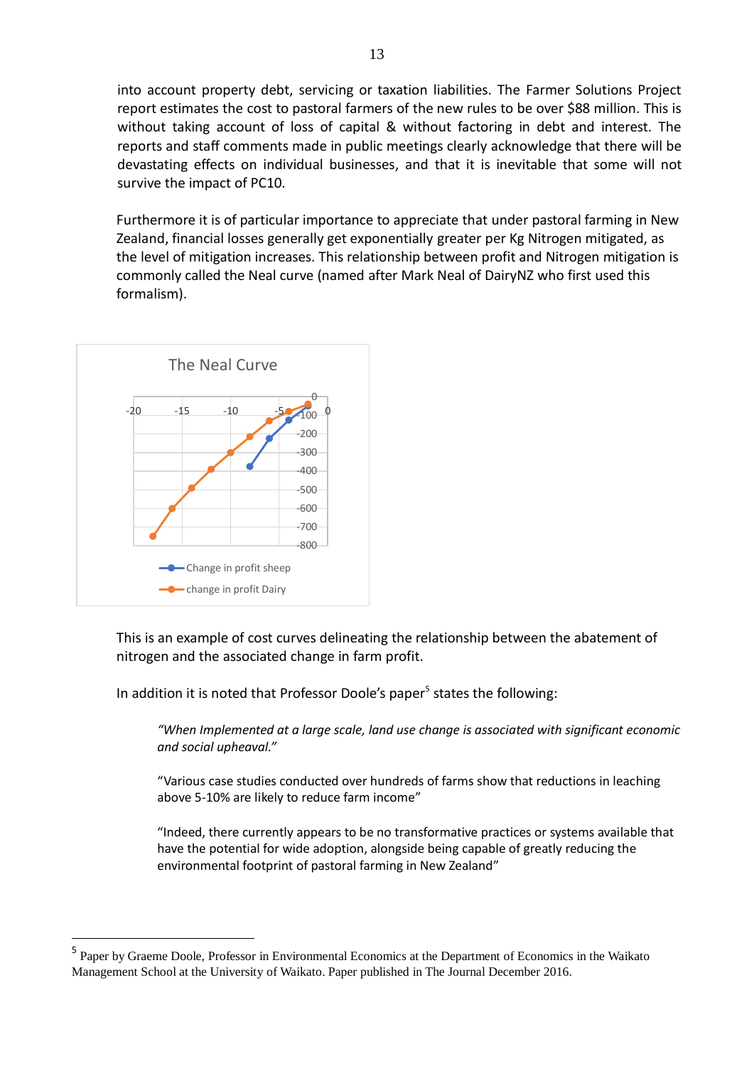into account property debt, servicing or taxation liabilities. The Farmer Solutions Project report estimates the cost to pastoral farmers of the new rules to be over \$88 million. This is without taking account of loss of capital & without factoring in debt and interest. The reports and staff comments made in public meetings clearly acknowledge that there will be devastating effects on individual businesses, and that it is inevitable that some will not survive the impact of PC10.

Furthermore it is of particular importance to appreciate that under pastoral farming in New Zealand, financial losses generally get exponentially greater per Kg Nitrogen mitigated, as the level of mitigation increases. This relationship between profit and Nitrogen mitigation is commonly called the Neal curve (named after Mark Neal of DairyNZ who first used this formalism).



<u>.</u>

This is an example of cost curves delineating the relationship between the abatement of nitrogen and the associated change in farm profit.

In addition it is noted that Professor Doole's paper<sup>5</sup> states the following:

*"When Implemented at a large scale, land use change is associated with significant economic and social upheaval."*

"Various case studies conducted over hundreds of farms show that reductions in leaching above 5-10% are likely to reduce farm income"

"Indeed, there currently appears to be no transformative practices or systems available that have the potential for wide adoption, alongside being capable of greatly reducing the environmental footprint of pastoral farming in New Zealand"

<sup>&</sup>lt;sup>5</sup> Paper by Graeme Doole, Professor in Environmental Economics at the Department of Economics in the Waikato Management School at the University of Waikato. Paper published in The Journal December 2016.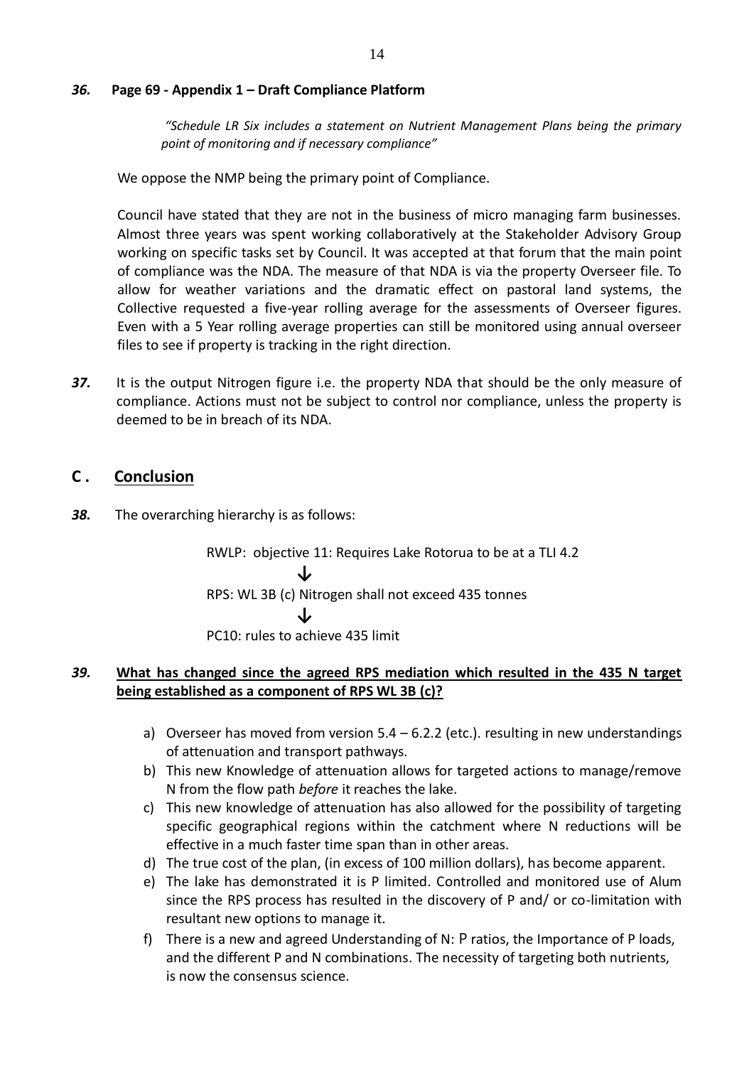### *36.* **Page 69 - Appendix 1 – Draft Compliance Platform**

*"Schedule LR Six includes a statement on Nutrient Management Plans being the primary point of monitoring and if necessary compliance"*

We oppose the NMP being the primary point of Compliance.

Council have stated that they are not in the business of micro managing farm businesses. Almost three years was spent working collaboratively at the Stakeholder Advisory Group working on specific tasks set by Council. It was accepted at that forum that the main point of compliance was the NDA. The measure of that NDA is via the property Overseer file. To allow for weather variations and the dramatic effect on pastoral land systems, the Collective requested a five-year rolling average for the assessments of Overseer figures. Even with a 5 Year rolling average properties can still be monitored using annual overseer files to see if property is tracking in the right direction.

*37.* It is the output Nitrogen figure i.e. the property NDA that should be the only measure of compliance. Actions must not be subject to control nor compliance, unless the property is deemed to be in breach of its NDA.

# **C . Conclusion**

*38.* The overarching hierarchy is as follows:

RWLP: objective 11: Requires Lake Rotorua to be at a TLI 4.2 **↓** RPS: WL 3B (c) Nitrogen shall not exceed 435 tonnes **↓** PC10: rules to achieve 435 limit

## *39.* **What has changed since the agreed RPS mediation which resulted in the 435 N target being established as a component of RPS WL 3B (c)?**

- a) Overseer has moved from version  $5.4 6.2.2$  (etc.). resulting in new understandings of attenuation and transport pathways.
- b) This new Knowledge of attenuation allows for targeted actions to manage/remove N from the flow path *before* it reaches the lake.
- c) This new knowledge of attenuation has also allowed for the possibility of targeting specific geographical regions within the catchment where N reductions will be effective in a much faster time span than in other areas.
- d) The true cost of the plan, (in excess of 100 million dollars), has become apparent.
- e) The lake has demonstrated it is P limited. Controlled and monitored use of Alum since the RPS process has resulted in the discovery of P and/ or co-limitation with resultant new options to manage it.
- f) There is a new and agreed Understanding of N: P ratios, the Importance of P loads, and the different P and N combinations. The necessity of targeting both nutrients, is now the consensus science.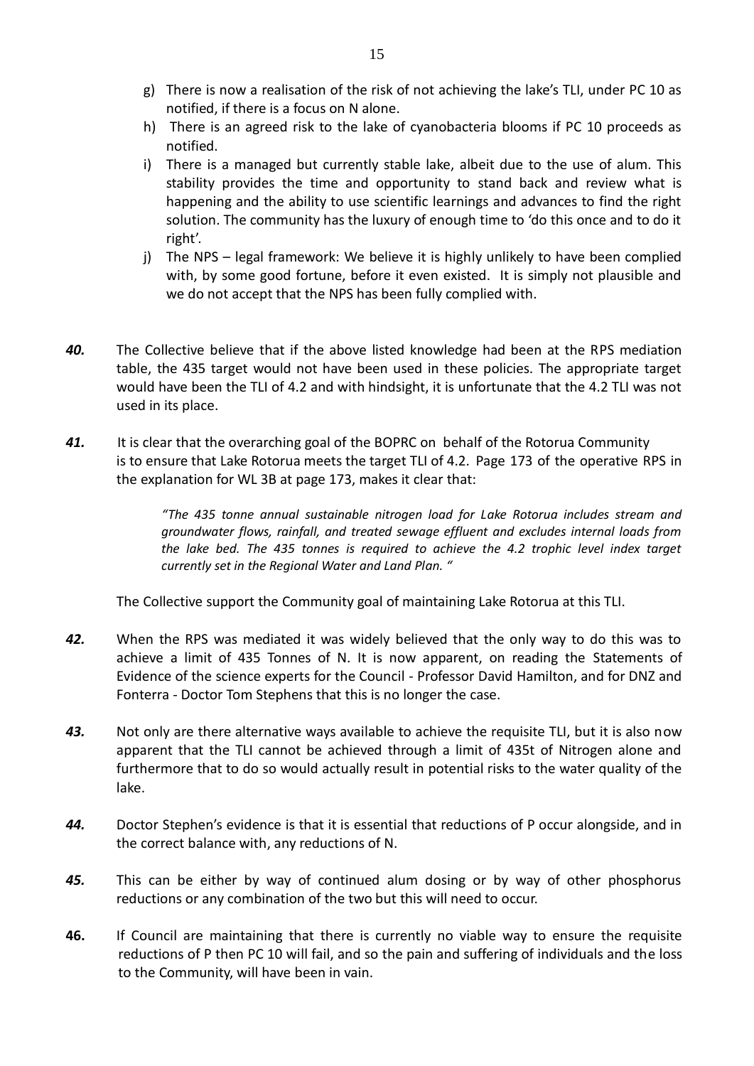- g) There is now a realisation of the risk of not achieving the lake's TLI, under PC 10 as notified, if there is a focus on N alone.
- h) There is an agreed risk to the lake of cyanobacteria blooms if PC 10 proceeds as notified.
- i) There is a managed but currently stable lake, albeit due to the use of alum. This stability provides the time and opportunity to stand back and review what is happening and the ability to use scientific learnings and advances to find the right solution. The community has the luxury of enough time to 'do this once and to do it right'.
- j) The NPS legal framework: We believe it is highly unlikely to have been complied with, by some good fortune, before it even existed. It is simply not plausible and we do not accept that the NPS has been fully complied with.
- *40.* The Collective believe that if the above listed knowledge had been at the RPS mediation table, the 435 target would not have been used in these policies. The appropriate target would have been the TLI of 4.2 and with hindsight, it is unfortunate that the 4.2 TLI was not used in its place.
- *41.* It is clear that the overarching goal of the BOPRC on behalf of the Rotorua Community is to ensure that Lake Rotorua meets the target TLI of 4.2. Page 173 of the operative RPS in the explanation for WL 3B at page 173, makes it clear that:

*"The 435 tonne annual sustainable nitrogen load for Lake Rotorua includes stream and groundwater flows, rainfall, and treated sewage effluent and excludes internal loads from the lake bed. The 435 tonnes is required to achieve the 4.2 trophic level index target currently set in the Regional Water and Land Plan. "*

The Collective support the Community goal of maintaining Lake Rotorua at this TLI.

- *42.* When the RPS was mediated it was widely believed that the only way to do this was to achieve a limit of 435 Tonnes of N. It is now apparent, on reading the Statements of Evidence of the science experts for the Council - Professor David Hamilton, and for DNZ and Fonterra - Doctor Tom Stephens that this is no longer the case.
- *43.* Not only are there alternative ways available to achieve the requisite TLI, but it is also now apparent that the TLI cannot be achieved through a limit of 435t of Nitrogen alone and furthermore that to do so would actually result in potential risks to the water quality of the lake.
- *44.* Doctor Stephen's evidence is that it is essential that reductions of P occur alongside, and in the correct balance with, any reductions of N.
- *45.* This can be either by way of continued alum dosing or by way of other phosphorus reductions or any combination of the two but this will need to occur.
- **46.** If Council are maintaining that there is currently no viable way to ensure the requisite reductions of P then PC 10 will fail, and so the pain and suffering of individuals and the loss to the Community, will have been in vain.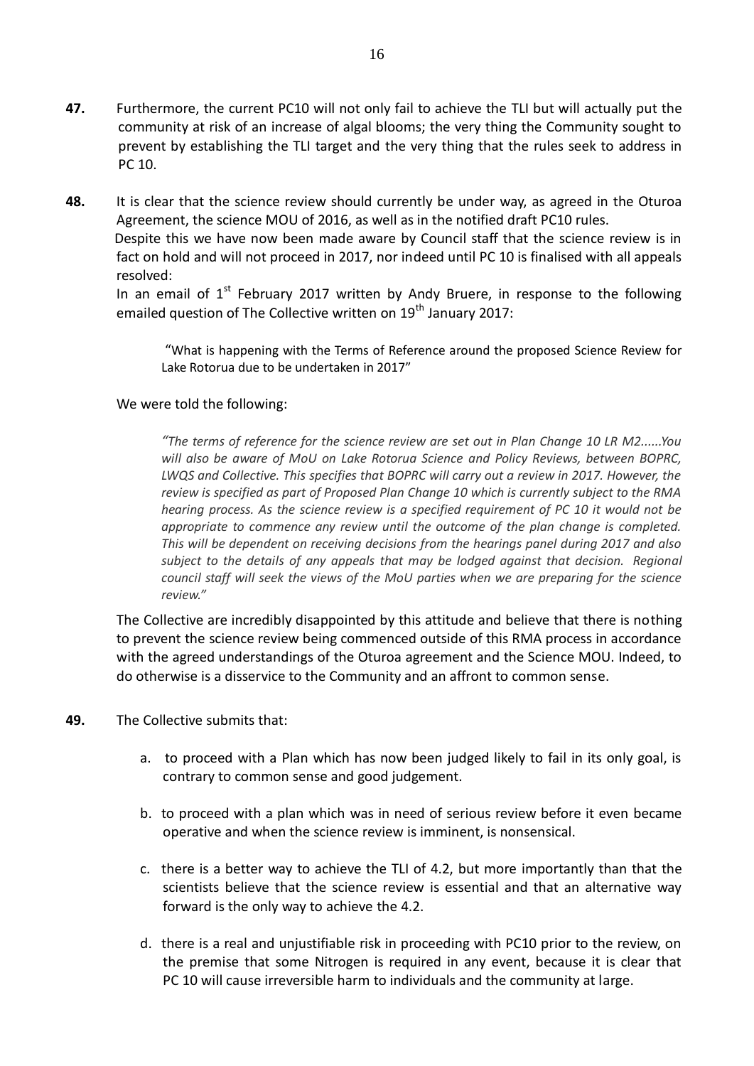- **47.** Furthermore, the current PC10 will not only fail to achieve the TLI but will actually put the community at risk of an increase of algal blooms; the very thing the Community sought to prevent by establishing the TLI target and the very thing that the rules seek to address in PC 10.
- **48.** It is clear that the science review should currently be under way, as agreed in the Oturoa Agreement, the science MOU of 2016, as well as in the notified draft PC10 rules.

Despite this we have now been made aware by Council staff that the science review is in fact on hold and will not proceed in 2017, nor indeed until PC 10 is finalised with all appeals resolved:

In an email of  $1<sup>st</sup>$  February 2017 written by Andy Bruere, in response to the following emailed question of The Collective written on 19<sup>th</sup> January 2017:

"What is happening with the Terms of Reference around the proposed Science Review for Lake Rotorua due to be undertaken in 2017"

## We were told the following:

*"The terms of reference for the science review are set out in Plan Change 10 LR M2......You will also be aware of MoU on Lake Rotorua Science and Policy Reviews, between BOPRC, LWQS and Collective. This specifies that BOPRC will carry out a review in 2017. However, the review is specified as part of Proposed Plan Change 10 which is currently subject to the RMA hearing process. As the science review is a specified requirement of PC 10 it would not be appropriate to commence any review until the outcome of the plan change is completed. This will be dependent on receiving decisions from the hearings panel during 2017 and also subject to the details of any appeals that may be lodged against that decision. Regional council staff will seek the views of the MoU parties when we are preparing for the science review."*

The Collective are incredibly disappointed by this attitude and believe that there is nothing to prevent the science review being commenced outside of this RMA process in accordance with the agreed understandings of the Oturoa agreement and the Science MOU. Indeed, to do otherwise is a disservice to the Community and an affront to common sense.

- **49.** The Collective submits that:
	- a. to proceed with a Plan which has now been judged likely to fail in its only goal, is contrary to common sense and good judgement.
	- b. to proceed with a plan which was in need of serious review before it even became operative and when the science review is imminent, is nonsensical.
	- c. there is a better way to achieve the TLI of 4.2, but more importantly than that the scientists believe that the science review is essential and that an alternative way forward is the only way to achieve the 4.2.
	- d. there is a real and unjustifiable risk in proceeding with PC10 prior to the review, on the premise that some Nitrogen is required in any event, because it is clear that PC 10 will cause irreversible harm to individuals and the community at large.